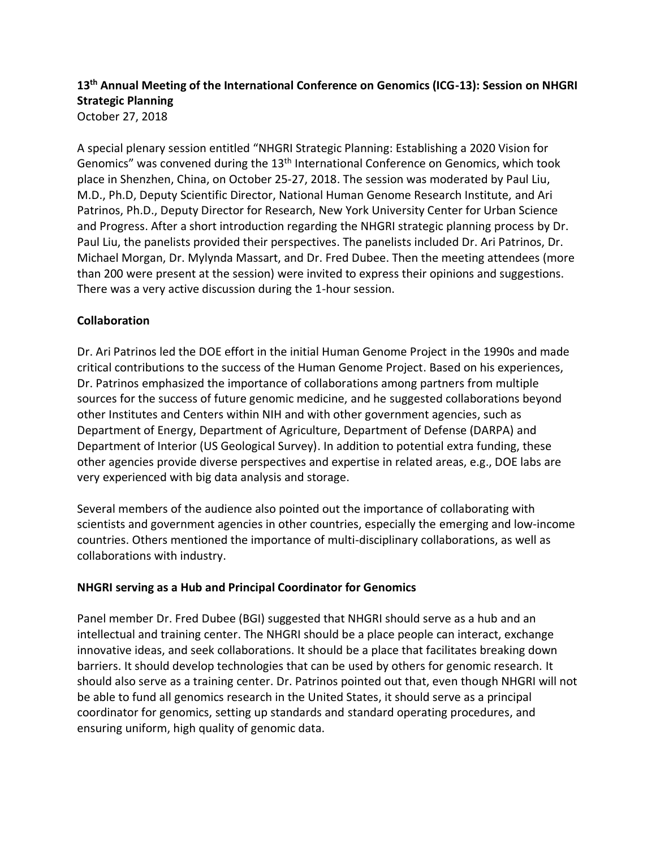# **13th Annual Meeting of the International Conference on Genomics (ICG-13): Session on NHGRI Strategic Planning** October 27, 2018

A special plenary session entitled "NHGRI Strategic Planning: Establishing a 2020 Vision for Genomics" was convened during the 13th International Conference on Genomics, which took place in Shenzhen, China, on October 25-27, 2018. The session was moderated by Paul Liu, M.D., Ph.D, Deputy Scientific Director, National Human Genome Research Institute, and Ari Patrinos, Ph.D., Deputy Director for Research, New York University Center for Urban Science and Progress. After a short introduction regarding the NHGRI strategic planning process by Dr. Paul Liu, the panelists provided their perspectives. The panelists included Dr. Ari Patrinos, Dr. Michael Morgan, Dr. Mylynda Massart, and Dr. Fred Dubee. Then the meeting attendees (more than 200 were present at the session) were invited to express their opinions and suggestions. There was a very active discussion during the 1-hour session.

## **Collaboration**

Dr. Ari Patrinos led the DOE effort in the initial Human Genome Project in the 1990s and made critical contributions to the success of the Human Genome Project. Based on his experiences, Dr. Patrinos emphasized the importance of collaborations among partners from multiple sources for the success of future genomic medicine, and he suggested collaborations beyond other Institutes and Centers within NIH and with other government agencies, such as Department of Energy, Department of Agriculture, Department of Defense (DARPA) and Department of Interior (US Geological Survey). In addition to potential extra funding, these other agencies provide diverse perspectives and expertise in related areas, e.g., DOE labs are very experienced with big data analysis and storage.

Several members of the audience also pointed out the importance of collaborating with scientists and government agencies in other countries, especially the emerging and low-income countries. Others mentioned the importance of multi-disciplinary collaborations, as well as collaborations with industry.

#### **NHGRI serving as a Hub and Principal Coordinator for Genomics**

Panel member Dr. Fred Dubee (BGI) suggested that NHGRI should serve as a hub and an intellectual and training center. The NHGRI should be a place people can interact, exchange innovative ideas, and seek collaborations. It should be a place that facilitates breaking down barriers. It should develop technologies that can be used by others for genomic research. It should also serve as a training center. Dr. Patrinos pointed out that, even though NHGRI will not be able to fund all genomics research in the United States, it should serve as a principal coordinator for genomics, setting up standards and standard operating procedures, and ensuring uniform, high quality of genomic data.